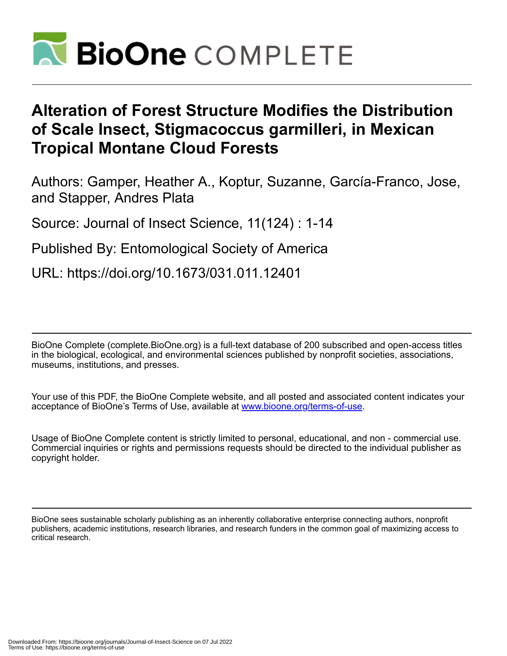

# **Alteration of Forest Structure Modifies the Distribution of Scale Insect, Stigmacoccus garmilleri, in Mexican Tropical Montane Cloud Forests**

Authors: Gamper, Heather A., Koptur, Suzanne, García-Franco, Jose, and Stapper, Andres Plata

Source: Journal of Insect Science, 11(124) : 1-14

Published By: Entomological Society of America

URL: https://doi.org/10.1673/031.011.12401

BioOne Complete (complete.BioOne.org) is a full-text database of 200 subscribed and open-access titles in the biological, ecological, and environmental sciences published by nonprofit societies, associations, museums, institutions, and presses.

Your use of this PDF, the BioOne Complete website, and all posted and associated content indicates your acceptance of BioOne's Terms of Use, available at www.bioone.org/terms-of-use.

Usage of BioOne Complete content is strictly limited to personal, educational, and non - commercial use. Commercial inquiries or rights and permissions requests should be directed to the individual publisher as copyright holder.

BioOne sees sustainable scholarly publishing as an inherently collaborative enterprise connecting authors, nonprofit publishers, academic institutions, research libraries, and research funders in the common goal of maximizing access to critical research.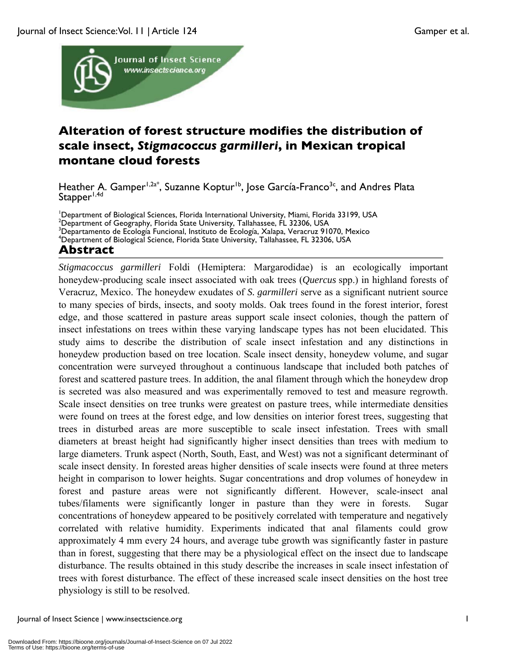

## **Alteration of forest structure modifies the distribution of scale insect,** *Stigmacoccus garmilleri***, in Mexican tropical montane cloud forests**

Heather A. Gamper<sup>1,2a\*</sup>, Suzanne Koptur<sup>1b</sup>, Jose García-Franco<sup>3c</sup>, and Andres Plata Stapper<sup>1,4d</sup>

<sup>1</sup>Department of Biological Sciences, Florida International University, Miami, Florida 33199, USA<br><sup>2</sup>Department of Geography, Florida State University, Tallabasses, FL 33206, USA <sup>2</sup>Department of Geography, Florida State University, Tallahassee, FL 32306, USA<br><sup>3</sup>Departamento de Ecología Eunciopal, Instituto de Ecología, Xalapa, Veracruz 9 I  $^3$ Departamento de Ecología Funcional, Instituto de Ecología, Xalapa, Veracruz 91070, Mexico<br>"Department of Biologíael Science, Florida State University, Tallabassee, EL 32306, USA Department of Biological Science, Florida State University, Tallahassee, FL 32306, USA **Abstract**

*Stigmacoccus garmilleri* Foldi (Hemiptera: Margarodidae) is an ecologically important honeydew-producing scale insect associated with oak trees (*Quercus* spp.) in highland forests of Veracruz, Mexico. The honeydew exudates of *S. garmilleri* serve as a significant nutrient source to many species of birds, insects, and sooty molds. Oak trees found in the forest interior, forest edge, and those scattered in pasture areas support scale insect colonies, though the pattern of insect infestations on trees within these varying landscape types has not been elucidated. This study aims to describe the distribution of scale insect infestation and any distinctions in honeydew production based on tree location. Scale insect density, honeydew volume, and sugar concentration were surveyed throughout a continuous landscape that included both patches of forest and scattered pasture trees. In addition, the anal filament through which the honeydew drop is secreted was also measured and was experimentally removed to test and measure regrowth. Scale insect densities on tree trunks were greatest on pasture trees, while intermediate densities were found on trees at the forest edge, and low densities on interior forest trees, suggesting that trees in disturbed areas are more susceptible to scale insect infestation. Trees with small diameters at breast height had significantly higher insect densities than trees with medium to large diameters. Trunk aspect (North, South, East, and West) was not a significant determinant of scale insect density. In forested areas higher densities of scale insects were found at three meters height in comparison to lower heights. Sugar concentrations and drop volumes of honeydew in forest and pasture areas were not significantly different. However, scale-insect anal tubes/filaments were significantly longer in pasture than they were in forests. Sugar concentrations of honeydew appeared to be positively correlated with temperature and negatively correlated with relative humidity. Experiments indicated that anal filaments could grow approximately 4 mm every 24 hours, and average tube growth was significantly faster in pasture than in forest, suggesting that there may be a physiological effect on the insect due to landscape disturbance. The results obtained in this study describe the increases in scale insect infestation of trees with forest disturbance. The effect of these increased scale insect densities on the host tree physiology is still to be resolved.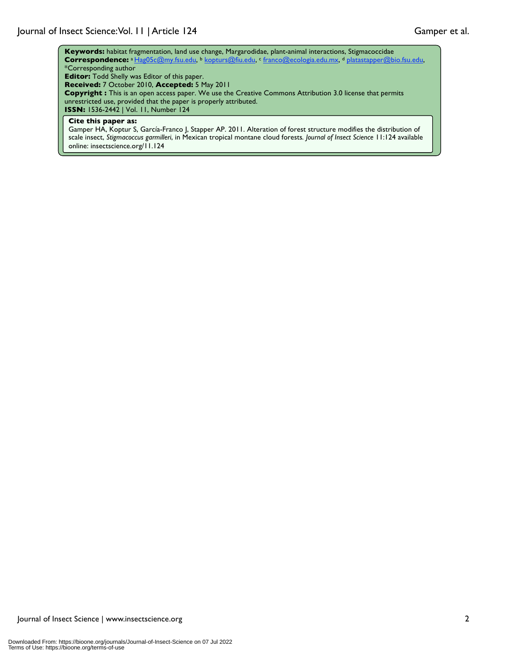#### **Keywords:** habitat fragmentation, land use change, Margarodidae, plant-animal interactions, Stigmacoccidae Correspondence: a Hag05c@my.fsu.edu, b kopturs@fiu.edu, c franco@ecologia.edu.mx, d platastapper@bio.fsu.edu, \*Corresponding author **Editor:** Todd Shelly was Editor of this paper. **Received:** 7 October 2010, **Accepted:** 5 May 2011 **Copyright :** This is an open access paper. We use the Creative Commons Attribution 3.0 license that permits

unrestricted use, provided that the paper is properly attributed. **ISSN:** 1536-2442 | Vol. 11, Number 124

#### **Cite this paper as:**

Gamper HA, Koptur S, García-Franco J, Stapper AP. 2011. Alteration of forest structure modifies the distribution of scale insect, *Stigmacoccus garmilleri*, in Mexican tropical montane cloud forests*. Journal of Insect Science* 11:124 available online: insectscience.org/11.124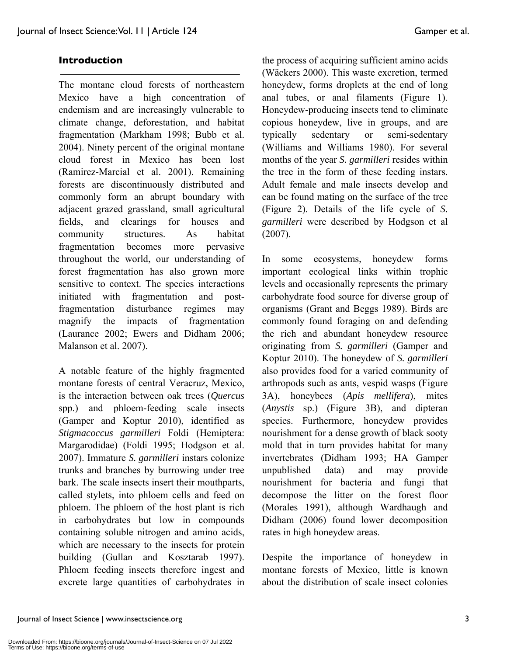#### **Introduction**

The montane cloud forests of northeastern Mexico have a high concentration of endemism and are increasingly vulnerable to climate change, deforestation, and habitat fragmentation (Markham 1998; Bubb et al. 2004). Ninety percent of the original montane cloud forest in Mexico has been lost (Ramirez-Marcial et al. 2001). Remaining forests are discontinuously distributed and commonly form an abrupt boundary with adjacent grazed grassland, small agricultural fields, and clearings for houses and community structures. As habitat fragmentation becomes more pervasive throughout the world, our understanding of forest fragmentation has also grown more sensitive to context. The species interactions initiated with fragmentation and postfragmentation disturbance regimes may magnify the impacts of fragmentation (Laurance 2002; Ewers and Didham 2006; Malanson et al. 2007).

A notable feature of the highly fragmented montane forests of central Veracruz, Mexico, is the interaction between oak trees (*Quercus* spp.) and phloem-feeding scale insects (Gamper and Koptur 2010), identified as *Stigmacoccus garmilleri* Foldi (Hemiptera: Margarodidae) (Foldi 1995; Hodgson et al. 2007). Immature *S. garmilleri* instars colonize trunks and branches by burrowing under tree bark. The scale insects insert their mouthparts, called stylets, into phloem cells and feed on phloem. The phloem of the host plant is rich in carbohydrates but low in compounds containing soluble nitrogen and amino acids, which are necessary to the insects for protein building (Gullan and Kosztarab 1997). Phloem feeding insects therefore ingest and excrete large quantities of carbohydrates in the process of acquiring sufficient amino acids (Wäckers 2000). This waste excretion, termed honeydew, forms droplets at the end of long anal tubes, or anal filaments (Figure 1). Honeydew-producing insects tend to eliminate copious honeydew, live in groups, and are typically sedentary or semi-sedentary (Williams and Williams 1980). For several months of the year *S. garmilleri* resides within the tree in the form of these feeding instars. Adult female and male insects develop and can be found mating on the surface of the tree (Figure 2). Details of the life cycle of *S. garmilleri* were described by Hodgson et al (2007).

In some ecosystems, honeydew forms important ecological links within trophic levels and occasionally represents the primary carbohydrate food source for diverse group of organisms (Grant and Beggs 1989). Birds are commonly found foraging on and defending the rich and abundant honeydew resource originating from *S. garmilleri* (Gamper and Koptur 2010). The honeydew of *S. garmilleri* also provides food for a varied community of arthropods such as ants, vespid wasps (Figure 3A), honeybees (*Apis mellifera*), mites (*Anystis* sp.) (Figure 3B), and dipteran species. Furthermore, honeydew provides nourishment for a dense growth of black sooty mold that in turn provides habitat for many invertebrates (Didham 1993; HA Gamper unpublished data) and may provide nourishment for bacteria and fungi that decompose the litter on the forest floor (Morales 1991), although Wardhaugh and Didham (2006) found lower decomposition rates in high honeydew areas.

Despite the importance of honeydew in montane forests of Mexico, little is known about the distribution of scale insect colonies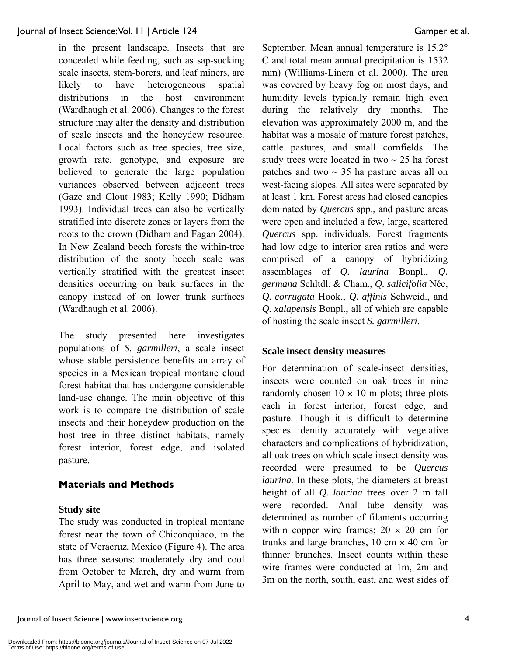in the present landscape. Insects that are concealed while feeding, such as sap-sucking scale insects, stem-borers, and leaf miners, are likely to have heterogeneous spatial distributions in the host environment (Wardhaugh et al. 2006). Changes to the forest structure may alter the density and distribution of scale insects and the honeydew resource. Local factors such as tree species, tree size, growth rate, genotype, and exposure are believed to generate the large population variances observed between adjacent trees (Gaze and Clout 1983; Kelly 1990; Didham 1993). Individual trees can also be vertically stratified into discrete zones or layers from the roots to the crown (Didham and Fagan 2004). In New Zealand beech forests the within-tree distribution of the sooty beech scale was vertically stratified with the greatest insect densities occurring on bark surfaces in the canopy instead of on lower trunk surfaces (Wardhaugh et al. 2006).

The study presented here investigates populations of *S. garmilleri*, a scale insect whose stable persistence benefits an array of species in a Mexican tropical montane cloud forest habitat that has undergone considerable land-use change. The main objective of this work is to compare the distribution of scale insects and their honeydew production on the host tree in three distinct habitats, namely forest interior, forest edge, and isolated pasture.

#### **Materials and Methods**

#### **Study site**

The study was conducted in tropical montane forest near the town of Chiconquiaco, in the state of Veracruz, Mexico (Figure 4). The area has three seasons: moderately dry and cool from October to March, dry and warm from April to May, and wet and warm from June to September. Mean annual temperature is 15.2° C and total mean annual precipitation is 1532 mm) (Williams-Linera et al. 2000). The area was covered by heavy fog on most days, and humidity levels typically remain high even during the relatively dry months. The elevation was approximately 2000 m, and the habitat was a mosaic of mature forest patches, cattle pastures, and small cornfields. The study trees were located in two  $\sim$  25 ha forest patches and two  $\sim$  35 ha pasture areas all on west-facing slopes. All sites were separated by at least 1 km. Forest areas had closed canopies dominated by *Quercus* spp., and pasture areas were open and included a few, large, scattered *Quercus* spp. individuals. Forest fragments had low edge to interior area ratios and were comprised of a canopy of hybridizing assemblages of *Q. laurina* Bonpl., *Q. germana* Schltdl. & Cham., *Q. salicifolia* Née, *Q. corrugata* Hook., *Q. affinis* Schweid., and *Q. xalapensis* Bonpl., all of which are capable of hosting the scale insect *S. garmilleri*.

#### **Scale insect density measures**

For determination of scale-insect densities, insects were counted on oak trees in nine randomly chosen  $10 \times 10$  m plots; three plots each in forest interior, forest edge, and pasture. Though it is difficult to determine species identity accurately with vegetative characters and complications of hybridization, all oak trees on which scale insect density was recorded were presumed to be *Quercus laurina.* In these plots, the diameters at breast height of all *Q. laurina* trees over 2 m tall were recorded. Anal tube density was determined as number of filaments occurring within copper wire frames;  $20 \times 20$  cm for trunks and large branches,  $10 \text{ cm} \times 40 \text{ cm}$  for thinner branches. Insect counts within these wire frames were conducted at 1m, 2m and 3m on the north, south, east, and west sides of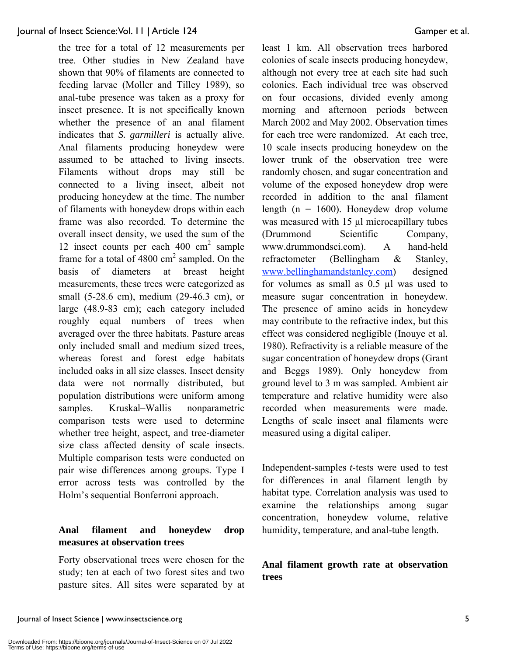the tree for a total of 12 measurements per tree. Other studies in New Zealand have shown that 90% of filaments are connected to feeding larvae (Moller and Tilley 1989), so anal-tube presence was taken as a proxy for insect presence. It is not specifically known whether the presence of an anal filament indicates that *S. garmilleri* is actually alive. Anal filaments producing honeydew were assumed to be attached to living insects. Filaments without drops may still be connected to a living insect, albeit not producing honeydew at the time. The number of filaments with honeydew drops within each frame was also recorded. To determine the overall insect density, we used the sum of the 12 insect counts per each 400 cm<sup>2</sup> sample frame for a total of  $4800 \text{ cm}^2$  sampled. On the basis of diameters at breast height measurements, these trees were categorized as small (5-28.6 cm), medium (29-46.3 cm), or large (48.9-83 cm); each category included roughly equal numbers of trees when averaged over the three habitats. Pasture areas only included small and medium sized trees, whereas forest and forest edge habitats included oaks in all size classes. Insect density data were not normally distributed, but population distributions were uniform among samples. Kruskal–Wallis nonparametric comparison tests were used to determine whether tree height, aspect, and tree-diameter size class affected density of scale insects. Multiple comparison tests were conducted on pair wise differences among groups. Type I error across tests was controlled by the Holm's sequential Bonferroni approach.

#### **Anal filament and honeydew drop measures at observation trees**

Forty observational trees were chosen for the study; ten at each of two forest sites and two pasture sites. All sites were separated by at least 1 km. All observation trees harbored colonies of scale insects producing honeydew, although not every tree at each site had such colonies. Each individual tree was observed on four occasions, divided evenly among morning and afternoon periods between March 2002 and May 2002. Observation times for each tree were randomized. At each tree, 10 scale insects producing honeydew on the lower trunk of the observation tree were randomly chosen, and sugar concentration and volume of the exposed honeydew drop were recorded in addition to the anal filament length ( $n = 1600$ ). Honeydew drop volume was measured with 15 μl microcapillary tubes (Drummond Scientific Company, www.drummondsci.com). A hand-held refractometer (Bellingham & Stanley, www.bellinghamandstanley.com) designed for volumes as small as  $0.5$   $\mu$ l was used to measure sugar concentration in honeydew. The presence of amino acids in honeydew may contribute to the refractive index, but this effect was considered negligible (Inouye et al. 1980). Refractivity is a reliable measure of the sugar concentration of honeydew drops (Grant and Beggs 1989). Only honeydew from ground level to 3 m was sampled. Ambient air temperature and relative humidity were also recorded when measurements were made. Lengths of scale insect anal filaments were measured using a digital caliper.

Independent-samples *t*-tests were used to test for differences in anal filament length by habitat type. Correlation analysis was used to examine the relationships among sugar concentration, honeydew volume, relative humidity, temperature, and anal-tube length.

#### **Anal filament growth rate at observation trees**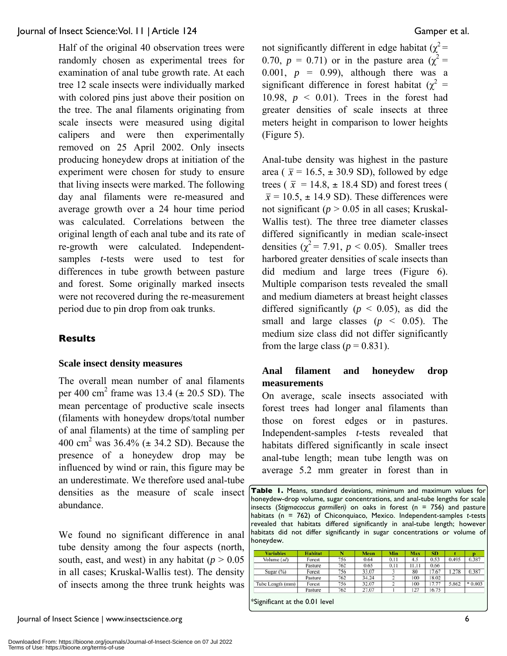Half of the original 40 observation trees were randomly chosen as experimental trees for examination of anal tube growth rate. At each tree 12 scale insects were individually marked with colored pins just above their position on the tree. The anal filaments originating from scale insects were measured using digital calipers and were then experimentally removed on 25 April 2002. Only insects producing honeydew drops at initiation of the experiment were chosen for study to ensure that living insects were marked. The following day anal filaments were re-measured and average growth over a 24 hour time period was calculated. Correlations between the original length of each anal tube and its rate of re-growth were calculated. Independentsamples *t*-tests were used to test for differences in tube growth between pasture and forest. Some originally marked insects were not recovered during the re-measurement period due to pin drop from oak trunks.

## **Results**

#### **Scale insect density measures**

The overall mean number of anal filaments per 400 cm<sup>2</sup> frame was  $13.4 \ (\pm 20.5 \text{ SD})$ . The mean percentage of productive scale insects (filaments with honeydew drops/total number of anal filaments) at the time of sampling per 400 cm<sup>2</sup> was  $36.4\%$  ( $\pm$  34.2 SD). Because the presence of a honeydew drop may be influenced by wind or rain, this figure may be an underestimate. We therefore used anal-tube densities as the measure of scale insect abundance.

We found no significant difference in anal tube density among the four aspects (north, south, east, and west) in any habitat  $(p > 0.05$ in all cases; Kruskal-Wallis test). The density of insects among the three trunk heights was

not significantly different in edge habitat ( $\chi^2$  = 0.70,  $p = 0.71$ ) or in the pasture area  $(\chi^2 =$ 0.001,  $p = 0.99$ ), although there was a significant difference in forest habitat ( $\chi^2$  = 10.98,  $p \leq 0.01$ ). Trees in the forest had greater densities of scale insects at three meters height in comparison to lower heights (Figure 5).

Anal-tube density was highest in the pasture area ( $\bar{x}$  = 16.5,  $\pm$  30.9 SD), followed by edge trees ( $\bar{x}$  = 14.8,  $\pm$  18.4 SD) and forest trees (  $\bar{x}$  = 10.5,  $\pm$  14.9 SD). These differences were not significant (*p* > 0.05 in all cases; Kruskal-Wallis test). The three tree diameter classes differed significantly in median scale-insect densities  $(\chi^2 = 7.91, p < 0.05)$ . Smaller trees harbored greater densities of scale insects than did medium and large trees (Figure 6). Multiple comparison tests revealed the small and medium diameters at breast height classes differed significantly ( $p < 0.05$ ), as did the small and large classes  $(p \leq 0.05)$ . The medium size class did not differ significantly from the large class ( $p = 0.831$ ).

## **Anal filament and honeydew drop measurements**

On average, scale insects associated with forest trees had longer anal filaments than those on forest edges or in pastures. Independent-samples *t*-tests revealed that habitats differed significantly in scale insect anal-tube length; mean tube length was on average 5.2 mm greater in forest than in

**Table 1.** Means, standard deviations, minimum and maximum values for honeydew-drop volume, sugar concentrations, and anal-tube lengths for scale insects (*Stigmacoccus garmilleri)* on oaks in forest (n = 756) and pasture habitats (n = 762) of Chiconquiaco, Mexico. Independent-samples *t*-tests revealed that habitats differed significantly in anal-tube length; however habitats did not differ significantly in sugar concentrations or volume of honeydew.

| <b>Variables</b> | <b>Habitat</b> |     | <b>Mean</b> | Min  | Max   | SD    |       |          |
|------------------|----------------|-----|-------------|------|-------|-------|-------|----------|
| Volume $(uI)$    | Forest         | 756 | 0.64        | 0.11 | 4.5   | 0.53  | 0.495 | 0.387    |
|                  | Pasture        | 762 | 0.65        | 0.11 | 11.11 | 0.66  |       |          |
| Sugar $(\%)$     | Forest         | 756 | 33.07       |      | 80    | 17.67 | 1.278 | 0.387    |
|                  | Pasture        | 762 | 34.24       |      | 100   | 18.02 |       |          |
| Tube Length (mm) | Forest         | 756 | 32.07       |      | 100   | 17.77 | 5.862 | $*0.003$ |
|                  | Pasture        | 762 | 27.07       |      | 127   | 16.75 |       |          |

\*Significant at the 0.01 level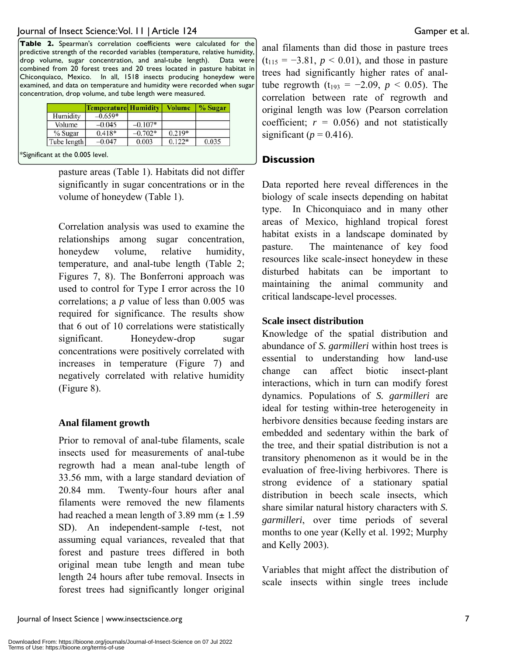**Table 2.** Spearman's correlation coefficients were calculated for the predictive strength of the recorded variables (temperature, relative humidity, drop volume, sugar concentration, and anal-tube length). Data were combined from 20 forest trees and 20 trees located in pasture habitat in Chiconquiaco, Mexico. In all, 1518 insects producing honeydew were examined, and data on temperature and humidity were recorded when sugar concentration, drop volume, and tube length were measured.

|             | Temperature Humidity |           | Volume   | % Sugar |
|-------------|----------------------|-----------|----------|---------|
| Humidity    | $-0.659*$            |           |          |         |
| Volume      | $-0.045$             | $-0.107*$ |          |         |
| % Sugar     | $0.418*$             | $-0.702*$ | $0.219*$ |         |
| Tube length | $-0.047$             | 0.003     | $0.122*$ | 0.035   |

\*Significant at the 0.005 level.

pasture areas (Table 1). Habitats did not differ significantly in sugar concentrations or in the volume of honeydew (Table 1).

Correlation analysis was used to examine the relationships among sugar concentration, honeydew volume, relative humidity, temperature, and anal-tube length (Table 2; Figures 7, 8). The Bonferroni approach was used to control for Type I error across the 10 correlations; a *p* value of less than 0.005 was required for significance. The results show that 6 out of 10 correlations were statistically significant. Honeydew-drop sugar concentrations were positively correlated with increases in temperature (Figure 7) and negatively correlated with relative humidity (Figure 8).

#### **Anal filament growth**

Prior to removal of anal-tube filaments, scale insects used for measurements of anal-tube regrowth had a mean anal-tube length of 33.56 mm, with a large standard deviation of 20.84 mm. Twenty-four hours after anal filaments were removed the new filaments had reached a mean length of 3.89 mm  $(\pm 1.59)$ SD). An independent-sample *t*-test, not assuming equal variances, revealed that that forest and pasture trees differed in both original mean tube length and mean tube length 24 hours after tube removal. Insects in forest trees had significantly longer original

anal filaments than did those in pasture trees  $(t_{115} = -3.81, p < 0.01)$ , and those in pasture trees had significantly higher rates of analtube regrowth  $(t_{193} = -2.09, p < 0.05)$ . The correlation between rate of regrowth and original length was low (Pearson correlation coefficient;  $r = 0.056$ ) and not statistically significant ( $p = 0.416$ ).

#### **Discussion**

Data reported here reveal differences in the biology of scale insects depending on habitat type. In Chiconquiaco and in many other areas of Mexico, highland tropical forest habitat exists in a landscape dominated by pasture. The maintenance of key food resources like scale-insect honeydew in these disturbed habitats can be important to maintaining the animal community and critical landscape-level processes.

#### **Scale insect distribution**

Knowledge of the spatial distribution and abundance of *S. garmilleri* within host trees is essential to understanding how land-use change can affect biotic insect-plant interactions, which in turn can modify forest dynamics. Populations of *S. garmilleri* are ideal for testing within-tree heterogeneity in herbivore densities because feeding instars are embedded and sedentary within the bark of the tree, and their spatial distribution is not a transitory phenomenon as it would be in the evaluation of free-living herbivores. There is strong evidence of a stationary spatial distribution in beech scale insects, which share similar natural history characters with *S. garmilleri*, over time periods of several months to one year (Kelly et al. 1992; Murphy and Kelly 2003).

Variables that might affect the distribution of scale insects within single trees include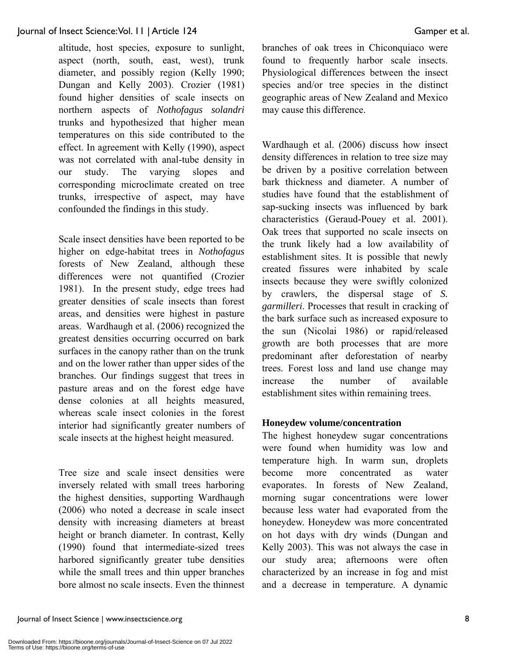altitude, host species, exposure to sunlight, aspect (north, south, east, west), trunk diameter, and possibly region (Kelly 1990; Dungan and Kelly 2003). Crozier (1981) found higher densities of scale insects on northern aspects of *Nothofagus solandri* trunks and hypothesized that higher mean temperatures on this side contributed to the effect. In agreement with Kelly (1990), aspect was not correlated with anal-tube density in our study. The varying slopes and corresponding microclimate created on tree trunks, irrespective of aspect, may have confounded the findings in this study.

Scale insect densities have been reported to be higher on edge-habitat trees in *Nothofagus* forests of New Zealand, although these differences were not quantified (Crozier 1981). In the present study, edge trees had greater densities of scale insects than forest areas, and densities were highest in pasture areas. Wardhaugh et al. (2006) recognized the greatest densities occurring occurred on bark surfaces in the canopy rather than on the trunk and on the lower rather than upper sides of the branches. Our findings suggest that trees in pasture areas and on the forest edge have dense colonies at all heights measured, whereas scale insect colonies in the forest interior had significantly greater numbers of scale insects at the highest height measured.

Tree size and scale insect densities were inversely related with small trees harboring the highest densities, supporting Wardhaugh (2006) who noted a decrease in scale insect density with increasing diameters at breast height or branch diameter. In contrast, Kelly (1990) found that intermediate-sized trees harbored significantly greater tube densities while the small trees and thin upper branches bore almost no scale insects. Even the thinnest branches of oak trees in Chiconquiaco were found to frequently harbor scale insects. Physiological differences between the insect species and/or tree species in the distinct geographic areas of New Zealand and Mexico may cause this difference.

Wardhaugh et al. (2006) discuss how insect density differences in relation to tree size may be driven by a positive correlation between bark thickness and diameter. A number of studies have found that the establishment of sap-sucking insects was influenced by bark characteristics (Geraud-Pouey et al. 2001). Oak trees that supported no scale insects on the trunk likely had a low availability of establishment sites. It is possible that newly created fissures were inhabited by scale insects because they were swiftly colonized by crawlers, the dispersal stage of *S. garmilleri*. Processes that result in cracking of the bark surface such as increased exposure to the sun (Nicolai 1986) or rapid/released growth are both processes that are more predominant after deforestation of nearby trees. Forest loss and land use change may increase the number of available establishment sites within remaining trees.

#### **Honeydew volume/concentration**

The highest honeydew sugar concentrations were found when humidity was low and temperature high. In warm sun, droplets become more concentrated as water evaporates. In forests of New Zealand, morning sugar concentrations were lower because less water had evaporated from the honeydew. Honeydew was more concentrated on hot days with dry winds (Dungan and Kelly 2003). This was not always the case in our study area; afternoons were often characterized by an increase in fog and mist and a decrease in temperature. A dynamic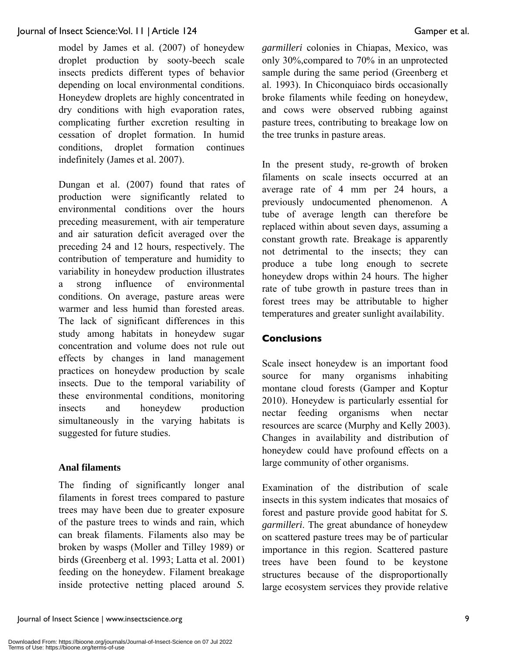model by James et al. (2007) of honeydew droplet production by sooty-beech scale insects predicts different types of behavior depending on local environmental conditions. Honeydew droplets are highly concentrated in dry conditions with high evaporation rates, complicating further excretion resulting in cessation of droplet formation. In humid conditions, droplet formation continues indefinitely (James et al. 2007).

Dungan et al. (2007) found that rates of production were significantly related to environmental conditions over the hours preceding measurement, with air temperature and air saturation deficit averaged over the preceding 24 and 12 hours, respectively. The contribution of temperature and humidity to variability in honeydew production illustrates a strong influence of environmental conditions. On average, pasture areas were warmer and less humid than forested areas. The lack of significant differences in this study among habitats in honeydew sugar concentration and volume does not rule out effects by changes in land management practices on honeydew production by scale insects. Due to the temporal variability of these environmental conditions, monitoring insects and honeydew production simultaneously in the varying habitats is suggested for future studies.

#### **Anal filaments**

The finding of significantly longer anal filaments in forest trees compared to pasture trees may have been due to greater exposure of the pasture trees to winds and rain, which can break filaments. Filaments also may be broken by wasps (Moller and Tilley 1989) or birds (Greenberg et al. 1993; Latta et al. 2001) feeding on the honeydew. Filament breakage inside protective netting placed around *S.* *garmilleri* colonies in Chiapas, Mexico, was only 30%,compared to 70% in an unprotected sample during the same period (Greenberg et al. 1993). In Chiconquiaco birds occasionally broke filaments while feeding on honeydew, and cows were observed rubbing against pasture trees, contributing to breakage low on the tree trunks in pasture areas.

In the present study, re-growth of broken filaments on scale insects occurred at an average rate of 4 mm per 24 hours, a previously undocumented phenomenon. A tube of average length can therefore be replaced within about seven days, assuming a constant growth rate. Breakage is apparently not detrimental to the insects; they can produce a tube long enough to secrete honeydew drops within 24 hours. The higher rate of tube growth in pasture trees than in forest trees may be attributable to higher temperatures and greater sunlight availability.

## **Conclusions**

Scale insect honeydew is an important food source for many organisms inhabiting montane cloud forests (Gamper and Koptur 2010). Honeydew is particularly essential for nectar feeding organisms when nectar resources are scarce (Murphy and Kelly 2003). Changes in availability and distribution of honeydew could have profound effects on a large community of other organisms.

Examination of the distribution of scale insects in this system indicates that mosaics of forest and pasture provide good habitat for *S. garmilleri*. The great abundance of honeydew on scattered pasture trees may be of particular importance in this region. Scattered pasture trees have been found to be keystone structures because of the disproportionally large ecosystem services they provide relative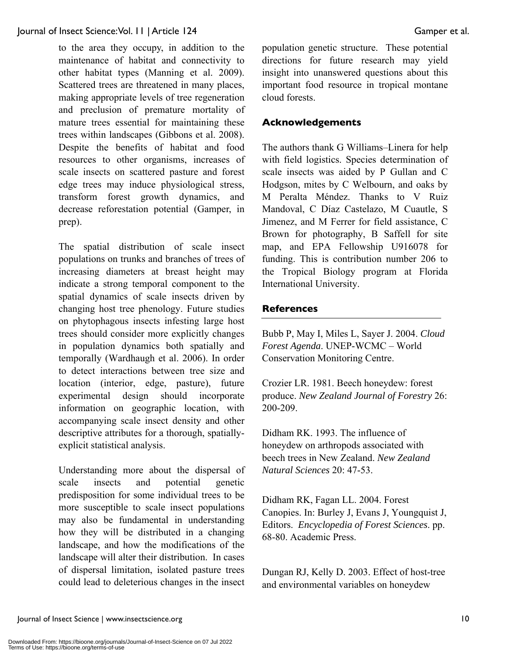to the area they occupy, in addition to the maintenance of habitat and connectivity to other habitat types (Manning et al. 2009). Scattered trees are threatened in many places, making appropriate levels of tree regeneration and preclusion of premature mortality of mature trees essential for maintaining these trees within landscapes (Gibbons et al. 2008). Despite the benefits of habitat and food resources to other organisms, increases of scale insects on scattered pasture and forest edge trees may induce physiological stress, transform forest growth dynamics, and decrease reforestation potential (Gamper, in prep).

The spatial distribution of scale insect populations on trunks and branches of trees of increasing diameters at breast height may indicate a strong temporal component to the spatial dynamics of scale insects driven by changing host tree phenology. Future studies on phytophagous insects infesting large host trees should consider more explicitly changes in population dynamics both spatially and temporally (Wardhaugh et al. 2006). In order to detect interactions between tree size and location (interior, edge, pasture), future experimental design should incorporate information on geographic location, with accompanying scale insect density and other descriptive attributes for a thorough, spatiallyexplicit statistical analysis.

Understanding more about the dispersal of scale insects and potential genetic predisposition for some individual trees to be more susceptible to scale insect populations may also be fundamental in understanding how they will be distributed in a changing landscape, and how the modifications of the landscape will alter their distribution. In cases of dispersal limitation, isolated pasture trees could lead to deleterious changes in the insect population genetic structure. These potential directions for future research may yield insight into unanswered questions about this important food resource in tropical montane cloud forests.

#### **Acknowledgements**

The authors thank G Williams–Linera for help with field logistics. Species determination of scale insects was aided by P Gullan and C Hodgson, mites by C Welbourn, and oaks by M Peralta Méndez. Thanks to V Ruiz Mandoval, C Díaz Castelazo, M Cuautle, S Jimenez, and M Ferrer for field assistance, C Brown for photography, B Saffell for site map, and EPA Fellowship U916078 for funding. This is contribution number 206 to the Tropical Biology program at Florida International University.

#### **References**

Bubb P, May I, Miles L, Sayer J. 2004. *Cloud Forest Agenda*. UNEP-WCMC – World Conservation Monitoring Centre.

Crozier LR. 1981. Beech honeydew: forest produce. *New Zealand Journal of Forestry* 26: 200-209.

Didham RK. 1993. The influence of honeydew on arthropods associated with beech trees in New Zealand. *New Zealand Natural Sciences* 20: 47-53.

Didham RK, Fagan LL. 2004. Forest Canopies. In: Burley J, Evans J, Youngquist J, Editors. *Encyclopedia of Forest Sciences*. pp. 68-80. Academic Press.

Dungan RJ, Kelly D. 2003. Effect of host-tree and environmental variables on honeydew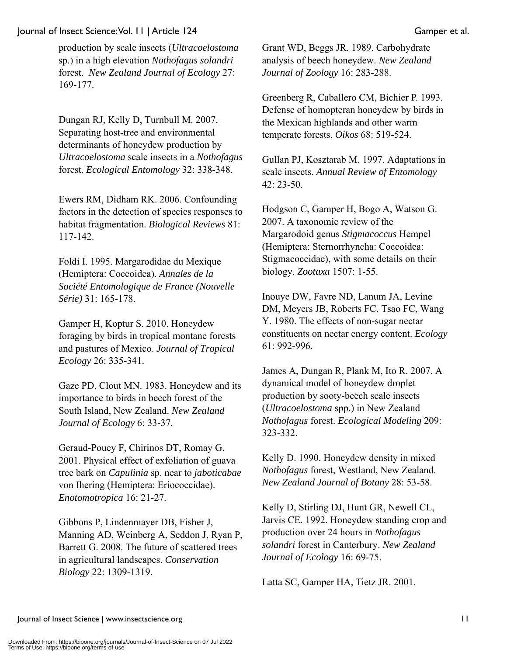production by scale insects (*Ultracoelostoma* sp.) in a high elevation *Nothofagus solandri* forest. *New Zealand Journal of Ecology* 27: 169-177.

Dungan RJ, Kelly D, Turnbull M. 2007. Separating host-tree and environmental determinants of honeydew production by *Ultracoelostoma* scale insects in a *Nothofagus* forest. *Ecological Entomology* 32: 338-348.

Ewers RM, Didham RK. 2006. Confounding factors in the detection of species responses to habitat fragmentation. *Biological Reviews* 81: 117-142.

Foldi I. 1995. Margarodidae du Mexique (Hemiptera: Coccoidea). *Annales de la Société Entomologique de France (Nouvelle Série)* 31: 165-178.

Gamper H, Koptur S. 2010. Honeydew foraging by birds in tropical montane forests and pastures of Mexico. *Journal of Tropical Ecology* 26: 335-341.

Gaze PD, Clout MN. 1983. Honeydew and its importance to birds in beech forest of the South Island, New Zealand. *New Zealand Journal of Ecology* 6: 33-37.

Geraud-Pouey F, Chirinos DT, Romay G. 2001. Physical effect of exfoliation of guava tree bark on *Capulinia* sp. near to *jaboticabae* von Ihering (Hemiptera: Eriococcidae). *Enotomotropica* 16: 21-27.

Gibbons P, Lindenmayer DB, Fisher J, Manning AD, Weinberg A, Seddon J, Ryan P, Barrett G. 2008. The future of scattered trees in agricultural landscapes. *Conservation Biology* 22: 1309-1319.

Grant WD, Beggs JR. 1989. Carbohydrate analysis of beech honeydew. *New Zealand Journal of Zoology* 16: 283-288.

Greenberg R, Caballero CM, Bichier P. 1993. Defense of homopteran honeydew by birds in the Mexican highlands and other warm temperate forests. *Oikos* 68: 519-524.

Gullan PJ, Kosztarab M. 1997. Adaptations in scale insects. *Annual Review of Entomology* 42: 23-50.

Hodgson C, Gamper H, Bogo A, Watson G. 2007. A taxonomic review of the Margarodoid genus *Stigmacoccus* Hempel (Hemiptera: Sternorrhyncha: Coccoidea: Stigmacoccidae), with some details on their biology. *Zootaxa* 1507: 1-55.

Inouye DW, Favre ND, Lanum JA, Levine DM, Meyers JB, Roberts FC, Tsao FC, Wang Y. 1980. The effects of non-sugar nectar constituents on nectar energy content. *Ecology* 61: 992-996.

James A, Dungan R, Plank M, Ito R. 2007. A dynamical model of honeydew droplet production by sooty-beech scale insects (*Ultracoelostoma* spp.) in New Zealand *Nothofagus* forest. *Ecological Modeling* 209: 323-332.

Kelly D. 1990. Honeydew density in mixed *Nothofagus* forest, Westland, New Zealand. *New Zealand Journal of Botany* 28: 53-58.

Kelly D, Stirling DJ, Hunt GR, Newell CL, Jarvis CE. 1992. Honeydew standing crop and production over 24 hours in *Nothofagus solandri* forest in Canterbury. *New Zealand Journal of Ecology* 16: 69-75.

Latta SC, Gamper HA, Tietz JR. 2001.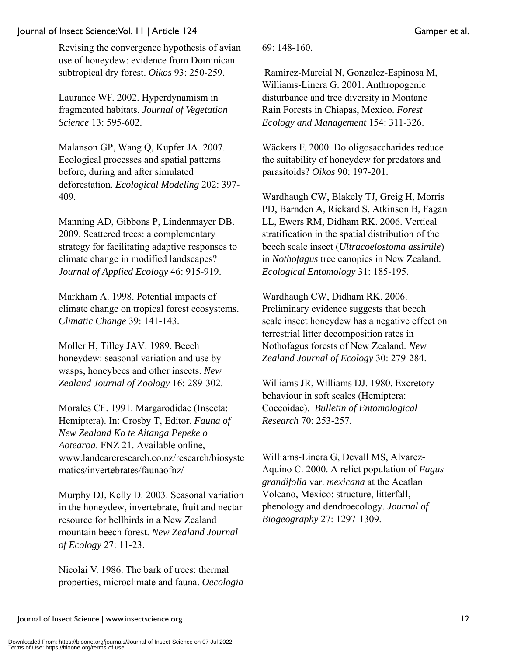Revising the convergence hypothesis of avian use of honeydew: evidence from Dominican subtropical dry forest. *Oikos* 93: 250-259.

Laurance WF. 2002. Hyperdynamism in fragmented habitats. *Journal of Vegetation Science* 13: 595-602.

Malanson GP, Wang Q, Kupfer JA. 2007. Ecological processes and spatial patterns before, during and after simulated deforestation. *Ecological Modeling* 202: 397- 409.

Manning AD, Gibbons P, Lindenmayer DB. 2009. Scattered trees: a complementary strategy for facilitating adaptive responses to climate change in modified landscapes? *Journal of Applied Ecology* 46: 915-919.

Markham A. 1998. Potential impacts of climate change on tropical forest ecosystems. *Climatic Change* 39: 141-143.

Moller H, Tilley JAV. 1989. Beech honeydew: seasonal variation and use by wasps, honeybees and other insects. *New Zealand Journal of Zoology* 16: 289-302.

Morales CF. 1991. Margarodidae (Insecta: Hemiptera). In: Crosby T, Editor. *Fauna of New Zealand Ko te Aitanga Pepeke o Aotearoa*. FNZ 21. Available online, www.landcareresearch.co.nz/research/biosyste matics/invertebrates/faunaofnz/

Murphy DJ, Kelly D. 2003. Seasonal variation in the honeydew, invertebrate, fruit and nectar resource for bellbirds in a New Zealand mountain beech forest. *New Zealand Journal of Ecology* 27: 11-23.

Nicolai V. 1986. The bark of trees: thermal properties, microclimate and fauna. *Oecologia* 69: 148-160.

 Ramirez-Marcial N, Gonzalez-Espinosa M, Williams-Linera G. 2001. Anthropogenic disturbance and tree diversity in Montane Rain Forests in Chiapas, Mexico. *Forest Ecology and Management* 154: 311-326.

Wäckers F. 2000. Do oligosaccharides reduce the suitability of honeydew for predators and parasitoids? *Oikos* 90: 197-201.

Wardhaugh CW, Blakely TJ, Greig H, Morris PD, Barnden A, Rickard S, Atkinson B, Fagan LL, Ewers RM, Didham RK. 2006. Vertical stratification in the spatial distribution of the beech scale insect (*Ultracoelostoma assimile*) in *Nothofagus* tree canopies in New Zealand. *Ecological Entomology* 31: 185-195.

Wardhaugh CW, Didham RK. 2006. Preliminary evidence suggests that beech scale insect honeydew has a negative effect on terrestrial litter decomposition rates in Nothofagus forests of New Zealand. *New Zealand Journal of Ecology* 30: 279-284.

Williams JR, Williams DJ. 1980. Excretory behaviour in soft scales (Hemiptera: Coccoidae). *Bulletin of Entomological Research* 70: 253-257.

Williams-Linera G, Devall MS, Alvarez-Aquino C. 2000. A relict population of *Fagus grandifolia* var. *mexicana* at the Acatlan Volcano, Mexico: structure, litterfall, phenology and dendroecology. *Journal of Biogeography* 27: 1297-1309.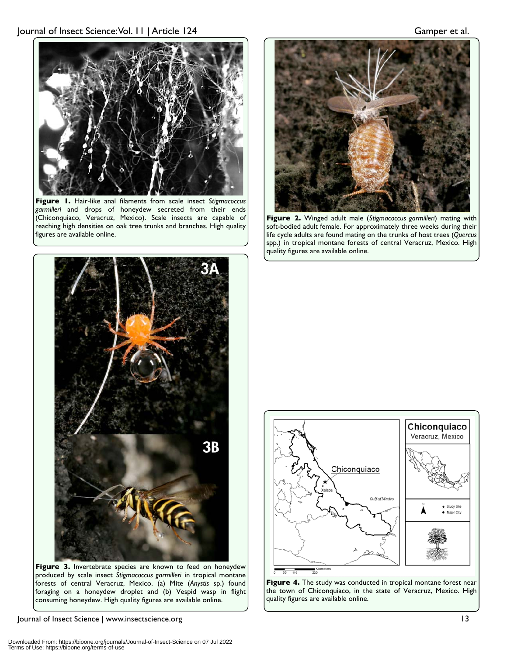

**Figure 1.** Hair-like anal filaments from scale insect *Stigmacoccus garmilleri* and drops of honeydew secreted from their ends (Chiconquiaco, Veracruz, Mexico). Scale insects are capable of reaching high densities on oak tree trunks and branches. High quality figures are available online.



Figure 3. Invertebrate species are known to feed on honeydew produced by scale insect *Stigmacoccus garmilleri* in tropical montane forests of central Veracruz, Mexico. (a) Mite (*Anystis* sp.) found foraging on a honeydew droplet and (b) Vespid wasp in flight consuming honeydew. High quality figures are available online.

Journal of Insect Science | www.insectscience.org 13



**Figure 2.** Winged adult male (*Stigmacoccus garmilleri*) mating with soft-bodied adult female. For approximately three weeks during their life cycle adults are found mating on the trunks of host trees (*Quercus* spp.) in tropical montane forests of central Veracruz, Mexico. High quality figures are available online.



**Figure 4.** The study was conducted in tropical montane forest near the town of Chiconquiaco, in the state of Veracruz, Mexico. High quality figures are available online.